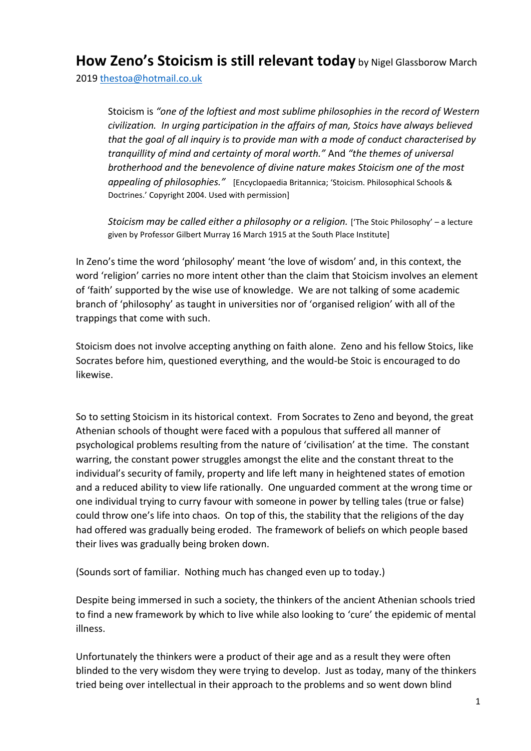## **How Zeno's Stoicism is still relevant today** by Nigel Glassborow March

2019 [thestoa@hotmail.co.uk](mailto:thestoa@hotmail.co.uk) 

Stoicism is *"one of the loftiest and most sublime philosophies in the record of Western civilization. In urging participation in the affairs of man, Stoics have always believed that the goal of all inquiry is to provide man with a mode of conduct characterised by tranquillity of mind and certainty of moral worth."* And *"the themes of universal brotherhood and the benevolence of divine nature makes Stoicism one of the most appealing of philosophies."* [Encyclopaedia Britannica; 'Stoicism. Philosophical Schools & Doctrines.' Copyright 2004. Used with permission]

*Stoicism may be called either a philosophy or a religion.* ['The Stoic Philosophy' – a lecture given by Professor Gilbert Murray 16 March 1915 at the South Place Institute]

In Zeno's time the word 'philosophy' meant 'the love of wisdom' and, in this context, the word 'religion' carries no more intent other than the claim that Stoicism involves an element of 'faith' supported by the wise use of knowledge. We are not talking of some academic branch of 'philosophy' as taught in universities nor of 'organised religion' with all of the trappings that come with such.

Stoicism does not involve accepting anything on faith alone. Zeno and his fellow Stoics, like Socrates before him, questioned everything, and the would-be Stoic is encouraged to do likewise.

So to setting Stoicism in its historical context. From Socrates to Zeno and beyond, the great Athenian schools of thought were faced with a populous that suffered all manner of psychological problems resulting from the nature of 'civilisation' at the time. The constant warring, the constant power struggles amongst the elite and the constant threat to the individual's security of family, property and life left many in heightened states of emotion and a reduced ability to view life rationally. One unguarded comment at the wrong time or one individual trying to curry favour with someone in power by telling tales (true or false) could throw one's life into chaos. On top of this, the stability that the religions of the day had offered was gradually being eroded. The framework of beliefs on which people based their lives was gradually being broken down.

(Sounds sort of familiar. Nothing much has changed even up to today.)

Despite being immersed in such a society, the thinkers of the ancient Athenian schools tried to find a new framework by which to live while also looking to 'cure' the epidemic of mental illness.

Unfortunately the thinkers were a product of their age and as a result they were often blinded to the very wisdom they were trying to develop. Just as today, many of the thinkers tried being over intellectual in their approach to the problems and so went down blind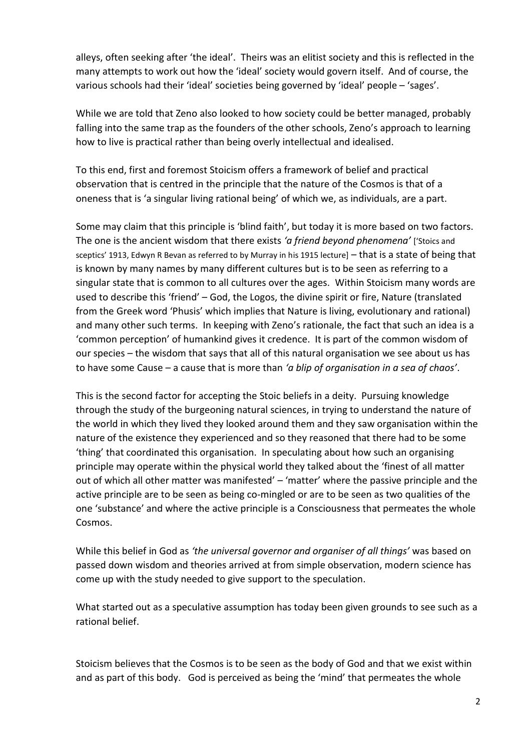alleys, often seeking after 'the ideal'. Theirs was an elitist society and this is reflected in the many attempts to work out how the 'ideal' society would govern itself. And of course, the various schools had their 'ideal' societies being governed by 'ideal' people – 'sages'.

While we are told that Zeno also looked to how society could be better managed, probably falling into the same trap as the founders of the other schools, Zeno's approach to learning how to live is practical rather than being overly intellectual and idealised.

To this end, first and foremost Stoicism offers a framework of belief and practical observation that is centred in the principle that the nature of the Cosmos is that of a oneness that is 'a singular living rational being' of which we, as individuals, are a part.

Some may claim that this principle is 'blind faith', but today it is more based on two factors. The one is the ancient wisdom that there exists *'a friend beyond phenomena'* ['Stoics and sceptics' 1913, Edwyn R Bevan as referred to by Murray in his 1915 lecture] – that is a state of being that is known by many names by many different cultures but is to be seen as referring to a singular state that is common to all cultures over the ages. Within Stoicism many words are used to describe this 'friend' – God, the Logos, the divine spirit or fire, Nature (translated from the Greek word 'Phusis' which implies that Nature is living, evolutionary and rational) and many other such terms. In keeping with Zeno's rationale, the fact that such an idea is a 'common perception' of humankind gives it credence. It is part of the common wisdom of our species – the wisdom that says that all of this natural organisation we see about us has to have some Cause – a cause that is more than *'a blip of organisation in a sea of chaos'*.

This is the second factor for accepting the Stoic beliefs in a deity. Pursuing knowledge through the study of the burgeoning natural sciences, in trying to understand the nature of the world in which they lived they looked around them and they saw organisation within the nature of the existence they experienced and so they reasoned that there had to be some 'thing' that coordinated this organisation. In speculating about how such an organising principle may operate within the physical world they talked about the 'finest of all matter out of which all other matter was manifested' - 'matter' where the passive principle and the active principle are to be seen as being co-mingled or are to be seen as two qualities of the one 'substance' and where the active principle is a Consciousness that permeates the whole Cosmos.

While this belief in God as *'the universal governor and organiser of all things'* was based on passed down wisdom and theories arrived at from simple observation, modern science has come up with the study needed to give support to the speculation.

What started out as a speculative assumption has today been given grounds to see such as a rational belief.

Stoicism believes that the Cosmos is to be seen as the body of God and that we exist within and as part of this body. God is perceived as being the 'mind' that permeates the whole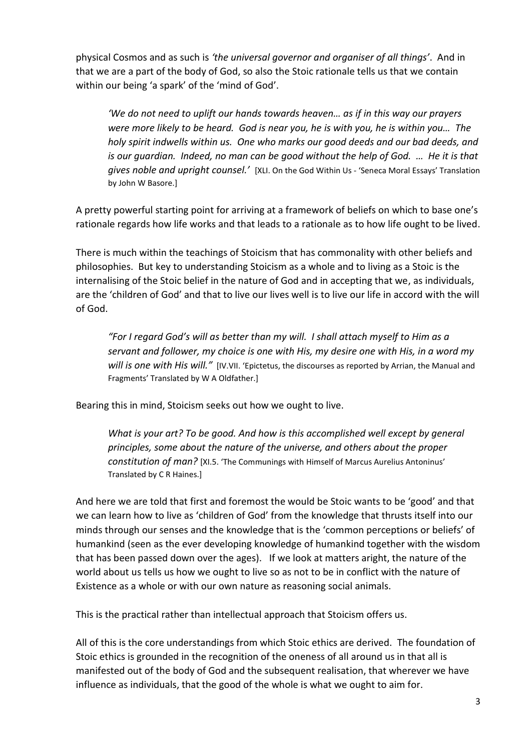physical Cosmos and as such is *'the universal governor and organiser of all things'*. And in that we are a part of the body of God, so also the Stoic rationale tells us that we contain within our being 'a spark' of the 'mind of God'.

*'We do not need to uplift our hands towards heaven… as if in this way our prayers were more likely to be heard. God is near you, he is with you, he is within you… The holy spirit indwells within us. One who marks our good deeds and our bad deeds, and is our guardian. Indeed, no man can be good without the help of God. … He it is that gives noble and upright counsel.'* [XLI. On the God Within Us - 'Seneca Moral Essays' Translation by John W Basore.]

A pretty powerful starting point for arriving at a framework of beliefs on which to base one's rationale regards how life works and that leads to a rationale as to how life ought to be lived.

There is much within the teachings of Stoicism that has commonality with other beliefs and philosophies. But key to understanding Stoicism as a whole and to living as a Stoic is the internalising of the Stoic belief in the nature of God and in accepting that we, as individuals, are the 'children of God' and that to live our lives well is to live our life in accord with the will of God.

*"For I regard God's will as better than my will. I shall attach myself to Him as a servant and follower, my choice is one with His, my desire one with His, in a word my will is one with His will."* [IV.VII. 'Epictetus, the discourses as reported by Arrian, the Manual and Fragments' Translated by W A Oldfather.]

Bearing this in mind, Stoicism seeks out how we ought to live.

*What is your art? To be good. And how is this accomplished well except by general principles, some about the nature of the universe, and others about the proper constitution of man?* [XI.5. 'The Communings with Himself of Marcus Aurelius Antoninus' Translated by C R Haines.]

And here we are told that first and foremost the would be Stoic wants to be 'good' and that we can learn how to live as 'children of God' from the knowledge that thrusts itself into our minds through our senses and the knowledge that is the 'common perceptions or beliefs' of humankind (seen as the ever developing knowledge of humankind together with the wisdom that has been passed down over the ages). If we look at matters aright, the nature of the world about us tells us how we ought to live so as not to be in conflict with the nature of Existence as a whole or with our own nature as reasoning social animals.

This is the practical rather than intellectual approach that Stoicism offers us.

All of this is the core understandings from which Stoic ethics are derived. The foundation of Stoic ethics is grounded in the recognition of the oneness of all around us in that all is manifested out of the body of God and the subsequent realisation, that wherever we have influence as individuals, that the good of the whole is what we ought to aim for.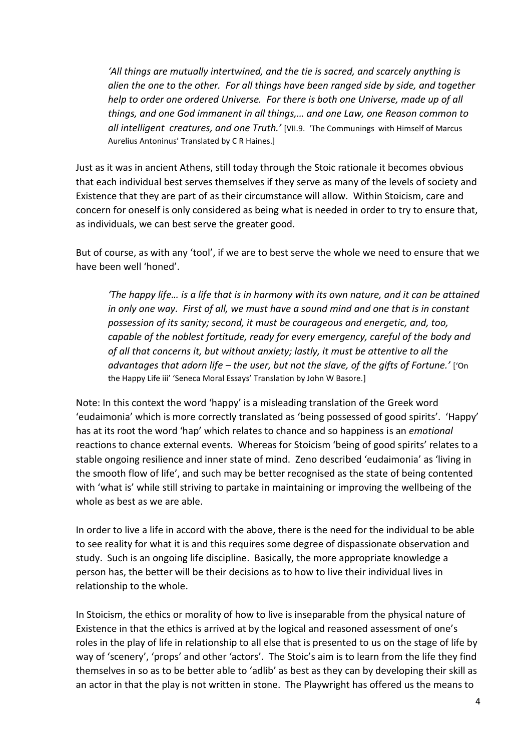*'All things are mutually intertwined, and the tie is sacred, and scarcely anything is alien the one to the other. For all things have been ranged side by side, and together help to order one ordered Universe. For there is both one Universe, made up of all things, and one God immanent in all things,… and one Law, one Reason common to all intelligent creatures, and one Truth.'* [VII.9. 'The Communings with Himself of Marcus Aurelius Antoninus' Translated by C R Haines.]

Just as it was in ancient Athens, still today through the Stoic rationale it becomes obvious that each individual best serves themselves if they serve as many of the levels of society and Existence that they are part of as their circumstance will allow. Within Stoicism, care and concern for oneself is only considered as being what is needed in order to try to ensure that, as individuals, we can best serve the greater good.

But of course, as with any 'tool', if we are to best serve the whole we need to ensure that we have been well 'honed'.

*'The happy life… is a life that is in harmony with its own nature, and it can be attained in only one way. First of all, we must have a sound mind and one that is in constant possession of its sanity; second, it must be courageous and energetic, and, too, capable of the noblest fortitude, ready for every emergency, careful of the body and of all that concerns it, but without anxiety; lastly, it must be attentive to all the advantages that adorn life – the user, but not the slave, of the gifts of Fortune.'* ['On the Happy Life iii' 'Seneca Moral Essays' Translation by John W Basore.]

Note: In this context the word 'happy' is a misleading translation of the Greek word 'eudaimonia' which is more correctly translated as 'being possessed of good spirits'. 'Happy' has at its root the word 'hap' which relates to chance and so happiness is an *emotional* reactions to chance external events. Whereas for Stoicism 'being of good spirits' relates to a stable ongoing resilience and inner state of mind. Zeno described 'eudaimonia' as 'living in the smooth flow of life', and such may be better recognised as the state of being contented with 'what is' while still striving to partake in maintaining or improving the wellbeing of the whole as best as we are able.

In order to live a life in accord with the above, there is the need for the individual to be able to see reality for what it is and this requires some degree of dispassionate observation and study. Such is an ongoing life discipline. Basically, the more appropriate knowledge a person has, the better will be their decisions as to how to live their individual lives in relationship to the whole.

In Stoicism, the ethics or morality of how to live is inseparable from the physical nature of Existence in that the ethics is arrived at by the logical and reasoned assessment of one's roles in the play of life in relationship to all else that is presented to us on the stage of life by way of 'scenery', 'props' and other 'actors'. The Stoic's aim is to learn from the life they find themselves in so as to be better able to 'adlib' as best as they can by developing their skill as an actor in that the play is not written in stone. The Playwright has offered us the means to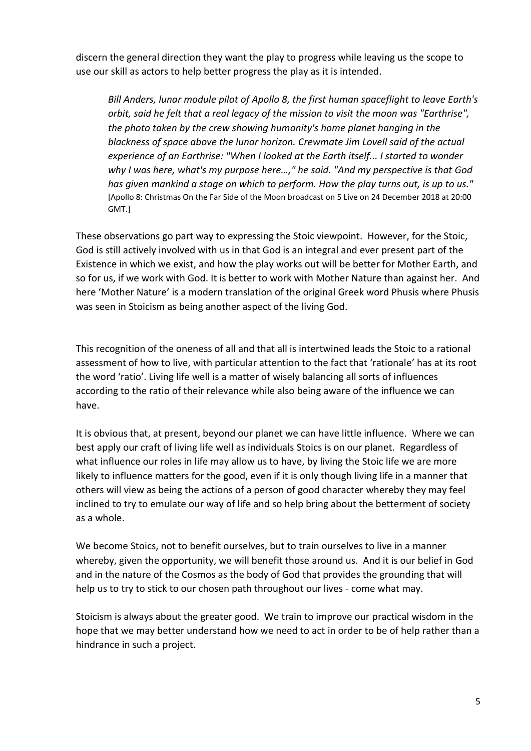discern the general direction they want the play to progress while leaving us the scope to use our skill as actors to help better progress the play as it is intended.

*Bill Anders, lunar module pilot of Apollo 8, the first human spaceflight to leave Earth's orbit, said he felt that a real legacy of the mission to visit the moon was "Earthrise", the photo taken by the crew showing humanity's home planet hanging in the blackness of space above the lunar horizon. Crewmate Jim Lovell said of the actual experience of an Earthrise: "When I looked at the Earth itself... I started to wonder why I was here, what's my purpose here…," he said. "And my perspective is that God has given mankind a stage on which to perform. How the play turns out, is up to us."*  [Apollo 8: Christmas On the Far Side of the Moon broadcast on 5 Live on 24 December 2018 at 20:00 GMT.]

These observations go part way to expressing the Stoic viewpoint. However, for the Stoic, God is still actively involved with us in that God is an integral and ever present part of the Existence in which we exist, and how the play works out will be better for Mother Earth, and so for us, if we work with God. It is better to work with Mother Nature than against her. And here 'Mother Nature' is a modern translation of the original Greek word Phusis where Phusis was seen in Stoicism as being another aspect of the living God.

This recognition of the oneness of all and that all is intertwined leads the Stoic to a rational assessment of how to live, with particular attention to the fact that 'rationale' has at its root the word 'ratio'. Living life well is a matter of wisely balancing all sorts of influences according to the ratio of their relevance while also being aware of the influence we can have.

It is obvious that, at present, beyond our planet we can have little influence. Where we can best apply our craft of living life well as individuals Stoics is on our planet. Regardless of what influence our roles in life may allow us to have, by living the Stoic life we are more likely to influence matters for the good, even if it is only though living life in a manner that others will view as being the actions of a person of good character whereby they may feel inclined to try to emulate our way of life and so help bring about the betterment of society as a whole.

We become Stoics, not to benefit ourselves, but to train ourselves to live in a manner whereby, given the opportunity, we will benefit those around us. And it is our belief in God and in the nature of the Cosmos as the body of God that provides the grounding that will help us to try to stick to our chosen path throughout our lives - come what may.

Stoicism is always about the greater good. We train to improve our practical wisdom in the hope that we may better understand how we need to act in order to be of help rather than a hindrance in such a project.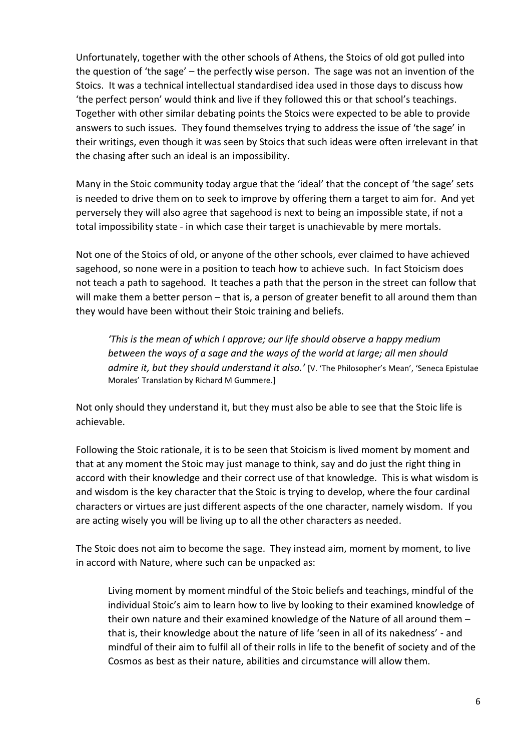Unfortunately, together with the other schools of Athens, the Stoics of old got pulled into the question of 'the sage' – the perfectly wise person. The sage was not an invention of the Stoics. It was a technical intellectual standardised idea used in those days to discuss how 'the perfect person' would think and live if they followed this or that school's teachings. Together with other similar debating points the Stoics were expected to be able to provide answers to such issues. They found themselves trying to address the issue of 'the sage' in their writings, even though it was seen by Stoics that such ideas were often irrelevant in that the chasing after such an ideal is an impossibility.

Many in the Stoic community today argue that the 'ideal' that the concept of 'the sage' sets is needed to drive them on to seek to improve by offering them a target to aim for. And yet perversely they will also agree that sagehood is next to being an impossible state, if not a total impossibility state - in which case their target is unachievable by mere mortals.

Not one of the Stoics of old, or anyone of the other schools, ever claimed to have achieved sagehood, so none were in a position to teach how to achieve such. In fact Stoicism does not teach a path to sagehood. It teaches a path that the person in the street can follow that will make them a better person – that is, a person of greater benefit to all around them than they would have been without their Stoic training and beliefs.

*'This is the mean of which I approve; our life should observe a happy medium between the ways of a sage and the ways of the world at large; all men should admire it, but they should understand it also.'* [V. 'The Philosopher's Mean', 'Seneca Epistulae Morales' Translation by Richard M Gummere.]

Not only should they understand it, but they must also be able to see that the Stoic life is achievable.

Following the Stoic rationale, it is to be seen that Stoicism is lived moment by moment and that at any moment the Stoic may just manage to think, say and do just the right thing in accord with their knowledge and their correct use of that knowledge. This is what wisdom is and wisdom is the key character that the Stoic is trying to develop, where the four cardinal characters or virtues are just different aspects of the one character, namely wisdom. If you are acting wisely you will be living up to all the other characters as needed.

The Stoic does not aim to become the sage. They instead aim, moment by moment, to live in accord with Nature, where such can be unpacked as:

Living moment by moment mindful of the Stoic beliefs and teachings, mindful of the individual Stoic's aim to learn how to live by looking to their examined knowledge of their own nature and their examined knowledge of the Nature of all around them – that is, their knowledge about the nature of life 'seen in all of its nakedness' - and mindful of their aim to fulfil all of their rolls in life to the benefit of society and of the Cosmos as best as their nature, abilities and circumstance will allow them.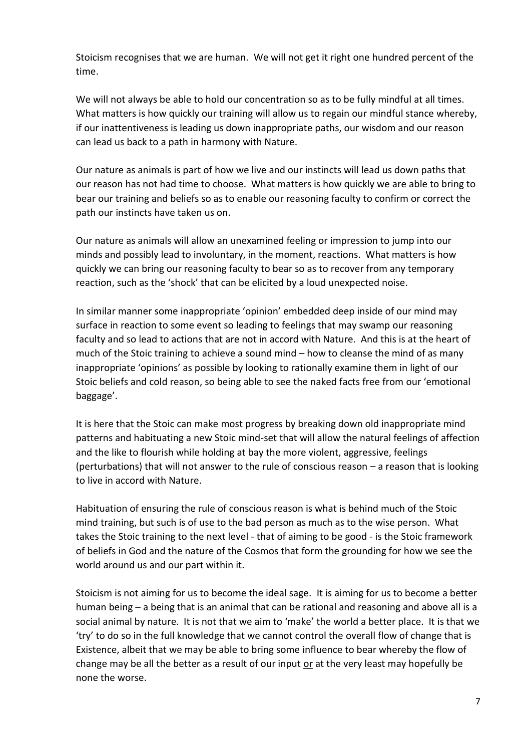Stoicism recognises that we are human. We will not get it right one hundred percent of the time.

We will not always be able to hold our concentration so as to be fully mindful at all times. What matters is how quickly our training will allow us to regain our mindful stance whereby, if our inattentiveness is leading us down inappropriate paths, our wisdom and our reason can lead us back to a path in harmony with Nature.

Our nature as animals is part of how we live and our instincts will lead us down paths that our reason has not had time to choose. What matters is how quickly we are able to bring to bear our training and beliefs so as to enable our reasoning faculty to confirm or correct the path our instincts have taken us on.

Our nature as animals will allow an unexamined feeling or impression to jump into our minds and possibly lead to involuntary, in the moment, reactions. What matters is how quickly we can bring our reasoning faculty to bear so as to recover from any temporary reaction, such as the 'shock' that can be elicited by a loud unexpected noise.

In similar manner some inappropriate 'opinion' embedded deep inside of our mind may surface in reaction to some event so leading to feelings that may swamp our reasoning faculty and so lead to actions that are not in accord with Nature. And this is at the heart of much of the Stoic training to achieve a sound mind – how to cleanse the mind of as many inappropriate 'opinions' as possible by looking to rationally examine them in light of our Stoic beliefs and cold reason, so being able to see the naked facts free from our 'emotional baggage'.

It is here that the Stoic can make most progress by breaking down old inappropriate mind patterns and habituating a new Stoic mind-set that will allow the natural feelings of affection and the like to flourish while holding at bay the more violent, aggressive, feelings (perturbations) that will not answer to the rule of conscious reason – a reason that is looking to live in accord with Nature.

Habituation of ensuring the rule of conscious reason is what is behind much of the Stoic mind training, but such is of use to the bad person as much as to the wise person. What takes the Stoic training to the next level - that of aiming to be good - is the Stoic framework of beliefs in God and the nature of the Cosmos that form the grounding for how we see the world around us and our part within it.

Stoicism is not aiming for us to become the ideal sage. It is aiming for us to become a better human being – a being that is an animal that can be rational and reasoning and above all is a social animal by nature. It is not that we aim to 'make' the world a better place. It is that we 'try' to do so in the full knowledge that we cannot control the overall flow of change that is Existence, albeit that we may be able to bring some influence to bear whereby the flow of change may be all the better as a result of our input or at the very least may hopefully be none the worse.